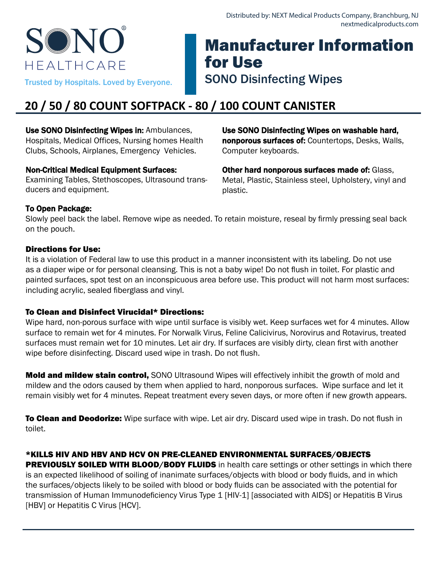# SON HFAITHCARF

# Manufacturer Information for Use Trusted by Hospitals. Loved by Everyone. SONO Disinfecting Wipes

# **20 / 50 / 80 COUNT SOFTPACK - 80 / 100 COUNT CANISTER**

Use SONO Disinfecting Wipes in: Ambulances, Hospitals, Medical Offices, Nursing homes Health Clubs, Schools, Airplanes, Emergency Vehicles.

### Non-Critical Medical Equipment Surfaces:

Examining Tables, Stethoscopes, Ultrasound transducers and equipment.

Use SONO Disinfecting Wipes on washable hard, nonporous surfaces of: Countertops, Desks, Walls, Computer keyboards.

Other hard nonporous surfaces made of: Glass, Metal, Plastic, Stainless steel, Upholstery, vinyl and plastic.

# To Open Package:

Slowly peel back the label. Remove wipe as needed. To retain moisture, reseal by firmly pressing seal back on the pouch.

# Directions for Use:

It is a violation of Federal law to use this product in a manner inconsistent with its labeling. Do not use as a diaper wipe or for personal cleansing. This is not a baby wipe! Do not flush in toilet. For plastic and painted surfaces, spot test on an inconspicuous area before use. This product will not harm most surfaces: including acrylic, sealed fiberglass and vinyl.

# To Clean and Disinfect Virucidal\* Directions:

Wipe hard, non-porous surface with wipe until surface is visibly wet. Keep surfaces wet for 4 minutes. Allow surface to remain wet for 4 minutes. For Norwalk Virus, Feline Calicivirus, Norovirus and Rotavirus, treated surfaces must remain wet for 10 minutes. Let air dry. If surfaces are visibly dirty, clean first with another wipe before disinfecting. Discard used wipe in trash. Do not flush.

Mold and mildew stain control, SONO Ultrasound Wipes will effectively inhibit the growth of mold and mildew and the odors caused by them when applied to hard, nonporous surfaces. Wipe surface and let it remain visibly wet for 4 minutes. Repeat treatment every seven days, or more often if new growth appears.

**To Clean and Deodorize:** Wipe surface with wipe. Let air dry. Discard used wipe in trash. Do not flush in toilet.

# \*KILLS HIV AND HBV AND HCV ON PRE-CLEANED ENVIRONMENTAL SURFACES/OBJECTS

PREVIOUSLY SOILED WITH BLOOD/BODY FLUIDS in health care settings or other settings in which there is an expected likelihood of soiling of inanimate surfaces/objects with blood or body fluids, and in which the surfaces/objects likely to be soiled with blood or body fluids can be associated with the potential for transmission of Human Immunodeficiency Virus Type 1 [HIV-1] [associated with AIDS] or Hepatitis B Virus [HBV] or Hepatitis C Virus [HCV].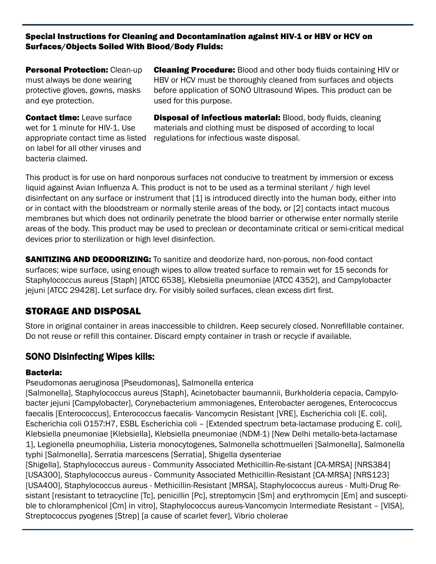#### Special Instructions for Cleaning and Decontamination against HIV-1 or HBV or HCV on Surfaces/Objects Soiled With Blood/Body Fluids:

**Personal Protection: Clean-up** must always be done wearing protective gloves, gowns, masks and eye protection.

**Contact time:** Leave surface wet for 1 minute for HIV-1. Use appropriate contact time as listed on label for all other viruses and bacteria claimed.

**Cleaning Procedure:** Blood and other body fluids containing HIV or HBV or HCV must be thoroughly cleaned from surfaces and objects before application of SONO Ultrasound Wipes. This product can be used for this purpose.

Disposal of infectious material: Blood, body fluids, cleaning materials and clothing must be disposed of according to local regulations for infectious waste disposal.

This product is for use on hard nonporous surfaces not conducive to treatment by immersion or excess liquid against Avian Influenza A. This product is not to be used as a terminal sterilant / high level disinfectant on any surface or instrument that [1] is introduced directly into the human body, either into or in contact with the bloodstream or normally sterile areas of the body, or [2] contacts intact mucous membranes but which does not ordinarily penetrate the blood barrier or otherwise enter normally sterile areas of the body. This product may be used to preclean or decontaminate critical or semi-critical medical devices prior to sterilization or high level disinfection.

**SANITIZING AND DEODORIZING:** To sanitize and deodorize hard, non-porous, non-food contact surfaces; wipe surface, using enough wipes to allow treated surface to remain wet for 15 seconds for Staphylococcus aureus [Staph] [ATCC 6538], Klebsiella pneumoniae [ATCC 4352], and Campylobacter jejuni [ATCC 29428]. Let surface dry. For visibly soiled surfaces, clean excess dirt first.

# STORAGE AND DISPOSAL

Store in original container in areas inaccessible to children. Keep securely closed. Nonrefillable container. Do not reuse or refill this container. Discard empty container in trash or recycle if available.

# SONO Disinfecting Wipes kills:

#### Bacteria:

Pseudomonas aeruginosa [Pseudomonas], Salmonella enterica

[Salmonella], Staphylococcus aureus [Staph], Acinetobacter baumannii, Burkholderia cepacia, Campylobacter jejuni [Campylobacter], Corynebacterium ammoniagenes, Enterobacter aerogenes, Enterococcus faecalis [Enterococcus], Enterococcus faecalis- Vancomycin Resistant [VRE], Escherichia coli [E. coli], Escherichia coli O157:H7, ESBL Escherichia coli – [Extended spectrum beta-lactamase producing E. coli], Klebsiella pneumoniae [Klebsiella], Klebsiella pneumoniae (NDM-1) [New Delhi metallo-beta-lactamase 1], Legionella pneumophilia, Listeria monocytogenes, Salmonella schottmuelleri [Salmonella], Salmonella typhi [Salmonella], Serratia marcescens [Serratia], Shigella dysenteriae [Shigella], Staphylococcus aureus - Community Associated Methicillin-Re-sistant [CA-MRSA] [NRS384] [USA300], Staphylococcus aureus - Community Associated Methicillin-Resistant [CA-MRSA] [NRS123] [USA400], Staphylococcus aureus - Methicillin-Resistant [MRSA], Staphylococcus aureus - Multi-Drug Re-

sistant [resistant to tetracycline [Tc], penicillin [Pc], streptomycin [Sm] and erythromycin [Em] and susceptible to chloramphenicol [Cm] in vitro], Staphylococcus aureus-Vancomycin Intermediate Resistant – [VISA], Streptococcus pyogenes [Strep] [a cause of scarlet fever], Vibrio cholerae